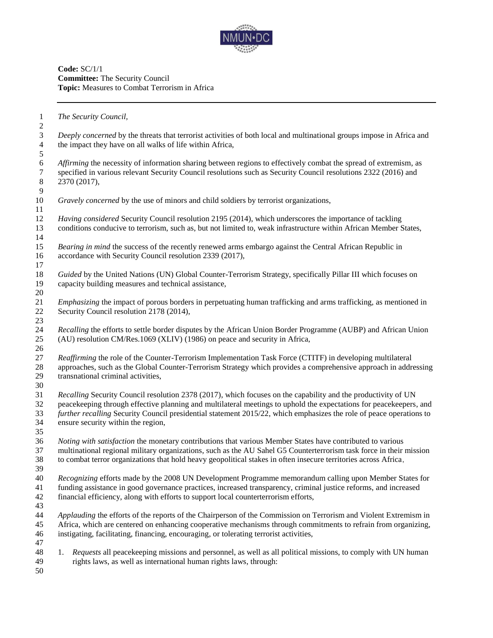

**Code:** SC/1/1 **Committee:** The Security Council **Topic:** Measures to Combat Terrorism in Africa

*The Security Council,*

 *Deeply concerned* by the threats that terrorist activities of both local and multinational groups impose in Africa and the impact they have on all walks of life within Africa,

 *Affirming the necessity of information sharing between regions to effectively combat the spread of extremism, as specified in various relevant Security Council resolutions such as Security Council resolutions 2322 (2016)*  specified in various relevant Security Council resolutions such as Security Council resolutions 2322 (2016) and 2370 (2017), 

*Gravely concerned* by the use of minors and child soldiers by terrorist organizations,

 *Having considered* Security Council resolution 2195 (2014), which underscores the importance of tackling conditions conducive to terrorism, such as, but not limited to, weak infrastructure within African Member States, 

 *Bearing in mind* the success of the recently renewed arms embargo against the Central African Republic in accordance with Security Council resolution 2339 (2017), 

 *Guided* by the United Nations (UN) Global Counter-Terrorism Strategy, specifically Pillar III which focuses on capacity building measures and technical assistance, 

 *Emphasizing* the impact of porous borders in perpetuating human trafficking and arms trafficking, as mentioned in 22 Security Council resolution 2178 (2014), 

 *Recalling* the efforts to settle border disputes by the African Union Border Programme (AUBP) and African Union (AU) resolution CM/Res.1069 (XLIV) (1986) on peace and security in Africa,

 *Reaffirming* the role of the Counter-Terrorism Implementation Task Force (CTITF) in developing multilateral approaches, such as the Global Counter-Terrorism Strategy which provides a comprehensive approach in addressing transnational criminal activities,

 *Recalling* Security Council resolution 2378 (2017), which focuses on the capability and the productivity of UN peacekeeping through effective planning and multilateral meetings to uphold the expectations for peacekeepers, and *further recalling* Security Council presidential statement 2015/22, which emphasizes the role of peace operations to ensure security within the region,

 *Noting with satisfaction* the monetary contributions that various Member States have contributed to various multinational regional military organizations, such as the AU Sahel G5 Counterterrorism task force in their mission to combat terror organizations that hold heavy geopolitical stakes in often insecure territories across Africa, 

 *Recognizing* efforts made by the 2008 UN Development Programme memorandum calling upon Member States for funding assistance in good governance practices, increased transparency, criminal justice reforms, and increased financial efficiency, along with efforts to support local counterterrorism efforts,

 *Applauding* the efforts of the reports of the Chairperson of the Commission on Terrorism and Violent Extremism in Africa, which are centered on enhancing cooperative mechanisms through commitments to refrain from organizing, instigating, facilitating, financing, encouraging, or tolerating terrorist activities, 

- 1. *Requests* all peacekeeping missions and personnel, as well as all political missions, to comply with UN human rights laws, as well as international human rights laws, through:
-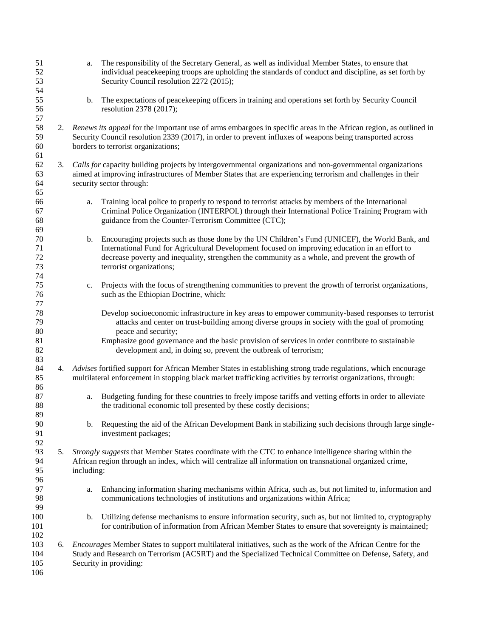| 51<br>52<br>53<br>54       |    | The responsibility of the Secretary General, as well as individual Member States, to ensure that<br>a.<br>individual peacekeeping troops are upholding the standards of conduct and discipline, as set forth by<br>Security Council resolution 2272 (2015);                                                                            |  |  |
|----------------------------|----|----------------------------------------------------------------------------------------------------------------------------------------------------------------------------------------------------------------------------------------------------------------------------------------------------------------------------------------|--|--|
| 55<br>56<br>57             |    | The expectations of peacekeeping officers in training and operations set forth by Security Council<br>b.<br>resolution 2378 (2017);                                                                                                                                                                                                    |  |  |
| 58<br>59<br>60<br>61       |    | 2. Renews its appeal for the important use of arms embargoes in specific areas in the African region, as outlined in<br>Security Council resolution 2339 (2017), in order to prevent influxes of weapons being transported across<br>borders to terrorist organizations;                                                               |  |  |
| 62<br>63<br>64<br>65       | 3. | Calls for capacity building projects by intergovernmental organizations and non-governmental organizations<br>aimed at improving infrastructures of Member States that are experiencing terrorism and challenges in their<br>security sector through:                                                                                  |  |  |
| 66<br>67<br>68<br>69       |    | Training local police to properly to respond to terrorist attacks by members of the International<br>a.<br>Criminal Police Organization (INTERPOL) through their International Police Training Program with<br>guidance from the Counter-Terrorism Committee (CTC);                                                                    |  |  |
| 70<br>71<br>72<br>73<br>74 |    | Encouraging projects such as those done by the UN Children's Fund (UNICEF), the World Bank, and<br>b.<br>International Fund for Agricultural Development focused on improving education in an effort to<br>decrease poverty and inequality, strengthen the community as a whole, and prevent the growth of<br>terrorist organizations; |  |  |
| 75<br>76<br>77             |    | Projects with the focus of strengthening communities to prevent the growth of terrorist organizations,<br>c.<br>such as the Ethiopian Doctrine, which:                                                                                                                                                                                 |  |  |
| 78<br>79<br>80<br>81       |    | Develop socioeconomic infrastructure in key areas to empower community-based responses to terrorist<br>attacks and center on trust-building among diverse groups in society with the goal of promoting<br>peace and security;<br>Emphasize good governance and the basic provision of services in order contribute to sustainable      |  |  |
| 82<br>83                   |    | development and, in doing so, prevent the outbreak of terrorism;                                                                                                                                                                                                                                                                       |  |  |
| 84<br>85<br>86             |    | 4. Advises fortified support for African Member States in establishing strong trade regulations, which encourage<br>multilateral enforcement in stopping black market trafficking activities by terrorist organizations, through:                                                                                                      |  |  |
| 87<br>88<br>89             |    | Budgeting funding for these countries to freely impose tariffs and vetting efforts in order to alleviate<br>a.<br>the traditional economic toll presented by these costly decisions;                                                                                                                                                   |  |  |
| 90<br>91<br>92             |    | Requesting the aid of the African Development Bank in stabilizing such decisions through large single-<br>b.<br>investment packages;                                                                                                                                                                                                   |  |  |
| 93<br>94<br>95<br>96       | 5. | Strongly suggests that Member States coordinate with the CTC to enhance intelligence sharing within the<br>African region through an index, which will centralize all information on transnational organized crime,<br>including:                                                                                                      |  |  |
| 97<br>98<br>99             |    | Enhancing information sharing mechanisms within Africa, such as, but not limited to, information and<br>a.<br>communications technologies of institutions and organizations within Africa;                                                                                                                                             |  |  |
| 100<br>101<br>102          |    | Utilizing defense mechanisms to ensure information security, such as, but not limited to, cryptography<br>b.<br>for contribution of information from African Member States to ensure that sovereignty is maintained;                                                                                                                   |  |  |
| 103<br>104<br>105<br>106   |    | 6. Encourages Member States to support multilateral initiatives, such as the work of the African Centre for the<br>Study and Research on Terrorism (ACSRT) and the Specialized Technical Committee on Defense, Safety, and<br>Security in providing:                                                                                   |  |  |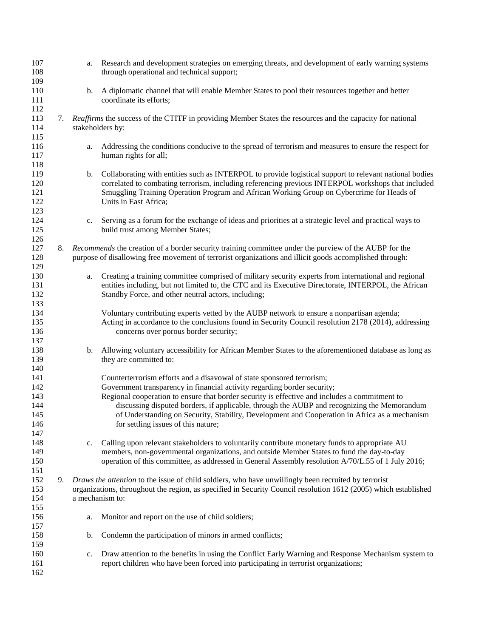| 107<br>108<br>109                             |    | a.                                                                                                                                                                                                                                         | Research and development strategies on emerging threats, and development of early warning systems<br>through operational and technical support;                                                                                                                                                                                                                                                                                                                                            |
|-----------------------------------------------|----|--------------------------------------------------------------------------------------------------------------------------------------------------------------------------------------------------------------------------------------------|--------------------------------------------------------------------------------------------------------------------------------------------------------------------------------------------------------------------------------------------------------------------------------------------------------------------------------------------------------------------------------------------------------------------------------------------------------------------------------------------|
| 110<br>111<br>112                             |    | b.                                                                                                                                                                                                                                         | A diplomatic channel that will enable Member States to pool their resources together and better<br>coordinate its efforts;                                                                                                                                                                                                                                                                                                                                                                 |
| 113<br>114                                    | 7. | Reaffirms the success of the CTITF in providing Member States the resources and the capacity for national<br>stakeholders by:                                                                                                              |                                                                                                                                                                                                                                                                                                                                                                                                                                                                                            |
| 115<br>116<br>117<br>118                      |    | a.                                                                                                                                                                                                                                         | Addressing the conditions conducive to the spread of terrorism and measures to ensure the respect for<br>human rights for all;                                                                                                                                                                                                                                                                                                                                                             |
| 119<br>120<br>121<br>122<br>123               |    | b.                                                                                                                                                                                                                                         | Collaborating with entities such as INTERPOL to provide logistical support to relevant national bodies<br>correlated to combating terrorism, including referencing previous INTERPOL workshops that included<br>Smuggling Training Operation Program and African Working Group on Cybercrime for Heads of<br>Units in East Africa;                                                                                                                                                         |
| 124<br>125<br>126                             |    | c.                                                                                                                                                                                                                                         | Serving as a forum for the exchange of ideas and priorities at a strategic level and practical ways to<br>build trust among Member States;                                                                                                                                                                                                                                                                                                                                                 |
| 127<br>128<br>129                             | 8. | Recommends the creation of a border security training committee under the purview of the AUBP for the<br>purpose of disallowing free movement of terrorist organizations and illicit goods accomplished through:                           |                                                                                                                                                                                                                                                                                                                                                                                                                                                                                            |
| 130<br>131<br>132<br>133                      |    | a.                                                                                                                                                                                                                                         | Creating a training committee comprised of military security experts from international and regional<br>entities including, but not limited to, the CTC and its Executive Directorate, INTERPOL, the African<br>Standby Force, and other neutral actors, including;                                                                                                                                                                                                                        |
| 134<br>135<br>136<br>137                      |    |                                                                                                                                                                                                                                            | Voluntary contributing experts vetted by the AUBP network to ensure a nonpartisan agenda;<br>Acting in accordance to the conclusions found in Security Council resolution 2178 (2014), addressing<br>concerns over porous border security;                                                                                                                                                                                                                                                 |
| 138<br>139<br>140                             |    | b.                                                                                                                                                                                                                                         | Allowing voluntary accessibility for African Member States to the aforementioned database as long as<br>they are committed to:                                                                                                                                                                                                                                                                                                                                                             |
| 141<br>142<br>143<br>144<br>145<br>146<br>147 |    |                                                                                                                                                                                                                                            | Counterterrorism efforts and a disavowal of state sponsored terrorism;<br>Government transparency in financial activity regarding border security;<br>Regional cooperation to ensure that border security is effective and includes a commitment to<br>discussing disputed borders, if applicable, through the AUBP and recognizing the Memorandum<br>of Understanding on Security, Stability, Development and Cooperation in Africa as a mechanism<br>for settling issues of this nature; |
| 148<br>149<br>150                             |    | c.                                                                                                                                                                                                                                         | Calling upon relevant stakeholders to voluntarily contribute monetary funds to appropriate AU<br>members, non-governmental organizations, and outside Member States to fund the day-to-day<br>operation of this committee, as addressed in General Assembly resolution A/70/L.55 of 1 July 2016;                                                                                                                                                                                           |
| 151<br>152<br>153<br>154<br>155               | 9. | Draws the attention to the issue of child soldiers, who have unwillingly been recruited by terrorist<br>organizations, throughout the region, as specified in Security Council resolution 1612 (2005) which established<br>a mechanism to: |                                                                                                                                                                                                                                                                                                                                                                                                                                                                                            |
| 156<br>157                                    |    | a.                                                                                                                                                                                                                                         | Monitor and report on the use of child soldiers;                                                                                                                                                                                                                                                                                                                                                                                                                                           |
| 158<br>159                                    |    | b.                                                                                                                                                                                                                                         | Condemn the participation of minors in armed conflicts;                                                                                                                                                                                                                                                                                                                                                                                                                                    |
| 160<br>161<br>162                             |    | $c_{\cdot}$                                                                                                                                                                                                                                | Draw attention to the benefits in using the Conflict Early Warning and Response Mechanism system to<br>report children who have been forced into participating in terrorist organizations;                                                                                                                                                                                                                                                                                                 |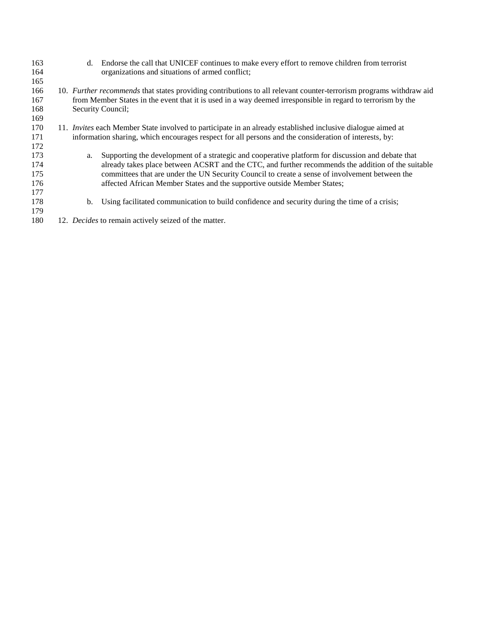| 163<br>164<br>165               | d. | Endorse the call that UNICEF continues to make every effort to remove children from terrorist<br>organizations and situations of armed conflict;                                                                                                                                                                                                                                      |
|---------------------------------|----|---------------------------------------------------------------------------------------------------------------------------------------------------------------------------------------------------------------------------------------------------------------------------------------------------------------------------------------------------------------------------------------|
| 166<br>167<br>168<br>169        |    | 10. Further recommends that states providing contributions to all relevant counter-terrorism programs withdraw aid<br>from Member States in the event that it is used in a way deemed irresponsible in regard to terrorism by the<br>Security Council;                                                                                                                                |
| 170<br>171<br>172               |    | 11. <i>Invites</i> each Member State involved to participate in an already established inclusive dialogue aimed at<br>information sharing, which encourages respect for all persons and the consideration of interests, by:                                                                                                                                                           |
| 173<br>174<br>175<br>176<br>177 | a. | Supporting the development of a strategic and cooperative platform for discussion and debate that<br>already takes place between ACSRT and the CTC, and further recommends the addition of the suitable<br>committees that are under the UN Security Council to create a sense of involvement between the<br>affected African Member States and the supportive outside Member States; |
| 178<br>179                      | b. | Using facilitated communication to build confidence and security during the time of a crisis;                                                                                                                                                                                                                                                                                         |
| 180                             |    | 12. Decides to remain actively seized of the matter.                                                                                                                                                                                                                                                                                                                                  |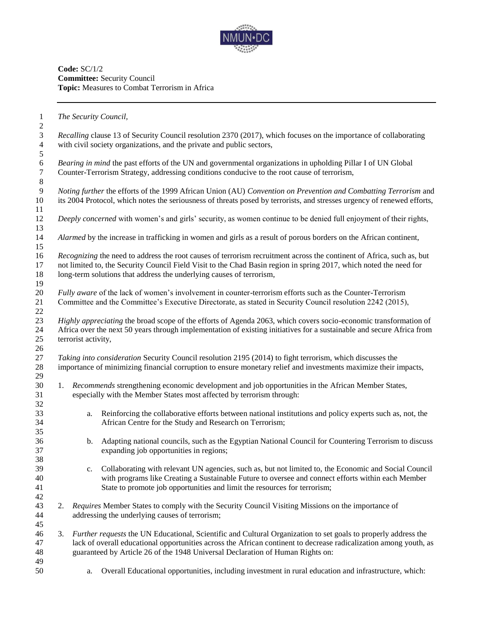

**Code:** SC/1/2 **Committee:** Security Council **Topic:** Measures to Combat Terrorism in Africa

*The Security Council,*

 *Recalling* clause 13 of Security Council resolution 2370 (2017), which focuses on the importance of collaborating with civil society organizations, and the private and public sectors,

6 *Bearing in mind* the past efforts of the UN and governmental organizations in upholding Pillar I of UN Global Counter-Terrorism Strategy, addressing conditions conducive to the root cause of terrorism, Counter-Terrorism Strategy, addressing conditions conducive to the root cause of terrorism,

 *Noting further* the efforts of the 1999 African Union (AU) *Convention on Prevention and Combatting Terrorism* and its 2004 Protocol, which notes the seriousness of threats posed by terrorists, and stresses urgency of renewed efforts, 

*Deeply concerned* with women's and girls' security, as women continue to be denied full enjoyment of their rights,

*Alarmed* by the increase in trafficking in women and girls as a result of porous borders on the African continent,

 *Recognizing* the need to address the root causes of terrorism recruitment across the continent of Africa, such as, but not limited to, the Security Council Field Visit to the Chad Basin region in spring 2017, which noted the need for 18 long-term solutions that address the underlying causes of terrorism, 

 *Fully aware* of the lack of women's involvement in counter-terrorism efforts such as the Counter-Terrorism Committee and the Committee's Executive Directorate, as stated in Security Council resolution 2242 (2015),

 *Highly appreciating* the broad scope of the efforts of Agenda 2063, which covers socio-economic transformation of Africa over the next 50 years through implementation of existing initiatives for a sustainable and secure Africa from terrorist activity,

 *Taking into consideration* Security Council resolution 2195 (2014) to fight terrorism, which discusses the importance of minimizing financial corruption to ensure monetary relief and investments maximize their impacts, 

- 1. *Recommends* strengthening economic development and job opportunities in the African Member States, especially with the Member States most affected by terrorism through:
- a. Reinforcing the collaborative efforts between national institutions and policy experts such as, not, the African Centre for the Study and Research on Terrorism;
- b. Adapting national councils, such as the Egyptian National Council for Countering Terrorism to discuss expanding job opportunities in regions;
- c. Collaborating with relevant UN agencies, such as, but not limited to, the Economic and Social Council with programs like Creating a Sustainable Future to oversee and connect efforts within each Member State to promote job opportunities and limit the resources for terrorism;
- 2. *Requires* Member States to comply with the Security Council Visiting Missions on the importance of addressing the underlying causes of terrorism;
- 3. *Further requests* the UN Educational, Scientific and Cultural Organization to set goals to properly address the lack of overall educational opportunities across the African continent to decrease radicalization among youth, as guaranteed by Article 26 of the 1948 Universal Declaration of Human Rights on:
- a. Overall Educational opportunities, including investment in rural education and infrastructure, which: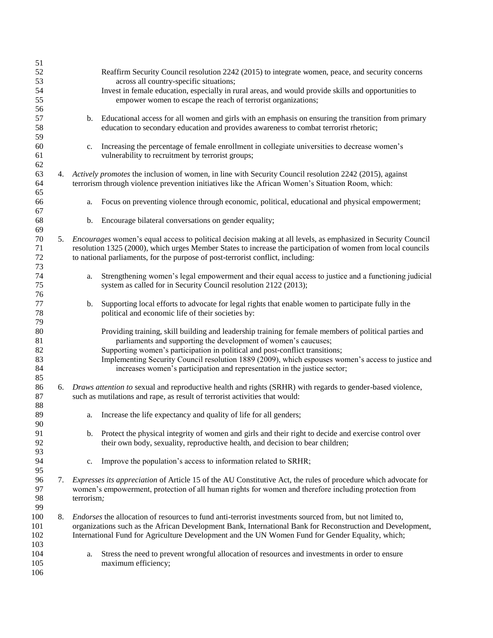| 51     |    |                                                                                                            |                                                                                                                       |  |
|--------|----|------------------------------------------------------------------------------------------------------------|-----------------------------------------------------------------------------------------------------------------------|--|
| 52     |    |                                                                                                            | Reaffirm Security Council resolution 2242 (2015) to integrate women, peace, and security concerns                     |  |
| 53     |    |                                                                                                            | across all country-specific situations;                                                                               |  |
| 54     |    |                                                                                                            | Invest in female education, especially in rural areas, and would provide skills and opportunities to                  |  |
| 55     |    |                                                                                                            | empower women to escape the reach of terrorist organizations;                                                         |  |
| 56     |    |                                                                                                            |                                                                                                                       |  |
| 57     |    |                                                                                                            | b. Educational access for all women and girls with an emphasis on ensuring the transition from primary                |  |
|        |    |                                                                                                            |                                                                                                                       |  |
| 58     |    |                                                                                                            | education to secondary education and provides awareness to combat terrorist rhetoric;                                 |  |
| 59     |    |                                                                                                            |                                                                                                                       |  |
| 60     |    | c.                                                                                                         | Increasing the percentage of female enrollment in collegiate universities to decrease women's                         |  |
| 61     |    |                                                                                                            | vulnerability to recruitment by terrorist groups;                                                                     |  |
| 62     |    |                                                                                                            |                                                                                                                       |  |
| 63     |    |                                                                                                            | 4. Actively promotes the inclusion of women, in line with Security Council resolution 2242 (2015), against            |  |
| 64     |    |                                                                                                            | terrorism through violence prevention initiatives like the African Women's Situation Room, which:                     |  |
| 65     |    |                                                                                                            |                                                                                                                       |  |
| 66     |    | a.                                                                                                         | Focus on preventing violence through economic, political, educational and physical empowerment;                       |  |
| 67     |    |                                                                                                            |                                                                                                                       |  |
| 68     |    | b.                                                                                                         | Encourage bilateral conversations on gender equality;                                                                 |  |
| 69     |    |                                                                                                            |                                                                                                                       |  |
|        |    |                                                                                                            |                                                                                                                       |  |
| $70\,$ | 5. |                                                                                                            | <i>Encourages</i> women's equal access to political decision making at all levels, as emphasized in Security Council  |  |
| 71     |    |                                                                                                            | resolution 1325 (2000), which urges Member States to increase the participation of women from local councils          |  |
| 72     |    |                                                                                                            | to national parliaments, for the purpose of post-terrorist conflict, including:                                       |  |
| 73     |    |                                                                                                            |                                                                                                                       |  |
| 74     |    | a.                                                                                                         | Strengthening women's legal empowerment and their equal access to justice and a functioning judicial                  |  |
| 75     |    |                                                                                                            | system as called for in Security Council resolution 2122 (2013);                                                      |  |
| 76     |    |                                                                                                            |                                                                                                                       |  |
| 77     |    | b.                                                                                                         | Supporting local efforts to advocate for legal rights that enable women to participate fully in the                   |  |
| 78     |    |                                                                                                            | political and economic life of their societies by:                                                                    |  |
| 79     |    |                                                                                                            |                                                                                                                       |  |
| 80     |    |                                                                                                            | Providing training, skill building and leadership training for female members of political parties and                |  |
| 81     |    |                                                                                                            | parliaments and supporting the development of women's caucuses;                                                       |  |
| 82     |    |                                                                                                            | Supporting women's participation in political and post-conflict transitions;                                          |  |
|        |    |                                                                                                            |                                                                                                                       |  |
| 83     |    |                                                                                                            | Implementing Security Council resolution 1889 (2009), which espouses women's access to justice and                    |  |
| 84     |    |                                                                                                            | increases women's participation and representation in the justice sector;                                             |  |
| 85     |    |                                                                                                            |                                                                                                                       |  |
| 86     |    |                                                                                                            | 6. Draws attention to sexual and reproductive health and rights (SRHR) with regards to gender-based violence,         |  |
| 87     |    |                                                                                                            | such as mutilations and rape, as result of terrorist activities that would:                                           |  |
| 88     |    |                                                                                                            |                                                                                                                       |  |
| 89     |    | a.                                                                                                         | Increase the life expectancy and quality of life for all genders;                                                     |  |
| 90     |    |                                                                                                            |                                                                                                                       |  |
| 91     |    |                                                                                                            | b. Protect the physical integrity of women and girls and their right to decide and exercise control over              |  |
| 92     |    |                                                                                                            | their own body, sexuality, reproductive health, and decision to bear children;                                        |  |
| 93     |    |                                                                                                            |                                                                                                                       |  |
| 94     |    | c.                                                                                                         | Improve the population's access to information related to SRHR;                                                       |  |
| 95     |    |                                                                                                            |                                                                                                                       |  |
| 96     | 7. |                                                                                                            | <i>Expresses its appreciation</i> of Article 15 of the AU Constitutive Act, the rules of procedure which advocate for |  |
| 97     |    |                                                                                                            | women's empowerment, protection of all human rights for women and therefore including protection from                 |  |
|        |    |                                                                                                            |                                                                                                                       |  |
| 98     |    | terrorism;                                                                                                 |                                                                                                                       |  |
| 99     |    |                                                                                                            |                                                                                                                       |  |
| 100    | 8. |                                                                                                            | <i>Endorses</i> the allocation of resources to fund anti-terrorist investments sourced from, but not limited to,      |  |
| 101    |    | organizations such as the African Development Bank, International Bank for Reconstruction and Development, |                                                                                                                       |  |
| 102    |    |                                                                                                            | International Fund for Agriculture Development and the UN Women Fund for Gender Equality, which;                      |  |
| 103    |    |                                                                                                            |                                                                                                                       |  |
| 104    |    | a.                                                                                                         | Stress the need to prevent wrongful allocation of resources and investments in order to ensure                        |  |
| 105    |    | maximum efficiency;                                                                                        |                                                                                                                       |  |
| 106    |    |                                                                                                            |                                                                                                                       |  |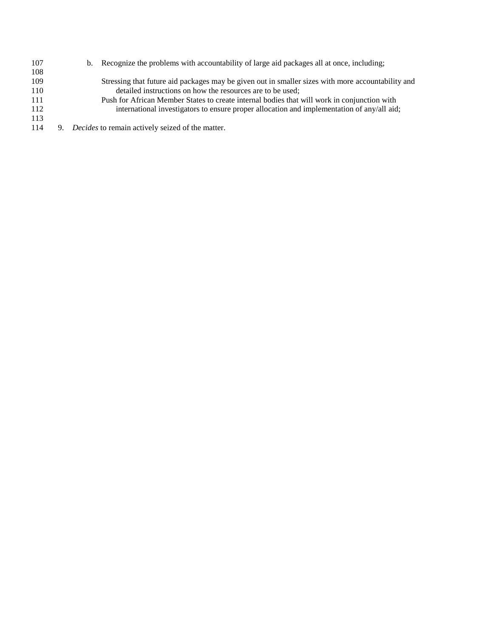- b. Recognize the problems with accountability of large aid packages all at once, including; Stressing that future aid packages may be given out in smaller sizes with more accountability and 110 detailed instructions on how the resources are to be used;<br>111 Push for African Member States to create internal bodies that v Push for African Member States to create internal bodies that will work in conjunction with 112 international investigators to ensure proper allocation and implementation of any/all aid;
- 9. *Decides* to remain actively seized of the matter.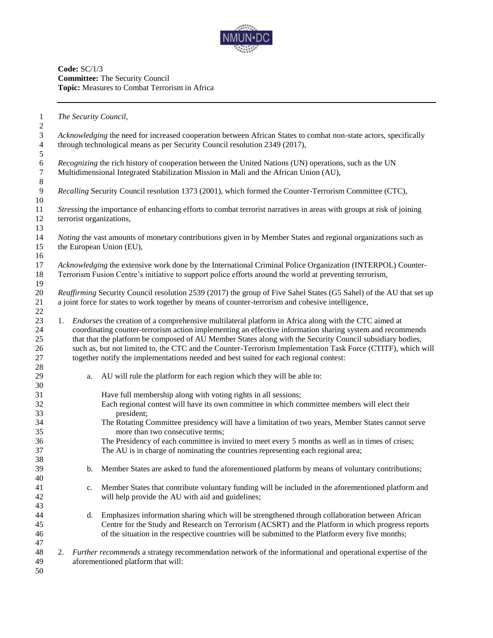

**Code:** SC/1/3 **Committee:** The Security Council **Topic:** Measures to Combat Terrorism in Africa

*The Security Council,*

 *Acknowledging* the need for increased cooperation between African States to combat non-state actors, specifically through technological means as per Security Council resolution 2349 (2017), *Recognizing* the rich history of cooperation between the United Nations (UN) operations, such as the UN<br>7 Multidimensional Integrated Stabilization Mission in Mali and the African Union (AU), Multidimensional Integrated Stabilization Mission in Mali and the African Union (AU), *Recalling* Security Council resolution 1373 (2001), which formed the Counter-Terrorism Committee (CTC), *Stressing* the importance of enhancing efforts to combat terrorist narratives in areas with groups at risk of joining terrorist organizations, *Noting* the vast amounts of monetary contributions given in by Member States and regional organizations such as the European Union (EU), *Acknowledging* the extensive work done by the International Criminal Police Organization (INTERPOL) Counter- Terrorism Fusion Centre's initiative to support police efforts around the world at preventing terrorism, *Reaffirming* Security Council resolution 2539 (2017) the group of Five Sahel States (G5 Sahel) of the AU that set up a joint force for states to work together by means of counter-terrorism and cohesive intelligence, 1. *Endorses* the creation of a comprehensive multilateral platform in Africa along with the CTC aimed at coordinating counter-terrorism action implementing an effective information sharing system and recommends that that the platform be composed of AU Member States along with the Security Council subsidiary bodies, such as, but not limited to, the CTC and the Counter-Terrorism Implementation Task Force (CTITF), which will together notify the implementations needed and best suited for each regional contest: a. AU will rule the platform for each region which they will be able to: Have full membership along with voting rights in all sessions; Each regional contest will have its own committee in which committee members will elect their president; The Rotating Committee presidency will have a limitation of two years, Member States cannot serve more than two consecutive terms; The Presidency of each committee is invited to meet every 5 months as well as in times of crises; The AU is in charge of nominating the countries representing each regional area; b. Member States are asked to fund the aforementioned platform by means of voluntary contributions; c. Member States that contribute voluntary funding will be included in the aforementioned platform and will help provide the AU with aid and guidelines; d. Emphasizes information sharing which will be strengthened through collaboration between African Centre for the Study and Research on Terrorism (ACSRT) and the Platform in which progress reports of the situation in the respective countries will be submitted to the Platform every five months; 2. *Further recommends* a strategy recommendation network of the informational and operational expertise of the aforementioned platform that will: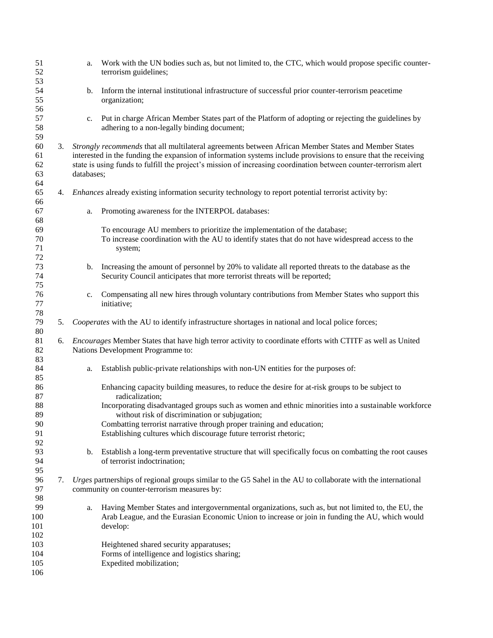| 51<br>52                 |    | a.                                                                                                                                                                                                                                                                                                                                                       | Work with the UN bodies such as, but not limited to, the CTC, which would propose specific counter-<br>terrorism guidelines;                                                                                      |  |
|--------------------------|----|----------------------------------------------------------------------------------------------------------------------------------------------------------------------------------------------------------------------------------------------------------------------------------------------------------------------------------------------------------|-------------------------------------------------------------------------------------------------------------------------------------------------------------------------------------------------------------------|--|
| 53<br>54<br>55<br>56     |    | b.                                                                                                                                                                                                                                                                                                                                                       | Inform the internal institutional infrastructure of successful prior counter-terrorism peacetime<br>organization;                                                                                                 |  |
| 57<br>58<br>59           |    | c.                                                                                                                                                                                                                                                                                                                                                       | Put in charge African Member States part of the Platform of adopting or rejecting the guidelines by<br>adhering to a non-legally binding document;                                                                |  |
| 60<br>61<br>62<br>63     | 3. | Strongly recommends that all multilateral agreements between African Member States and Member States<br>interested in the funding the expansion of information systems include provisions to ensure that the receiving<br>state is using funds to fulfill the project's mission of increasing coordination between counter-terrorism alert<br>databases; |                                                                                                                                                                                                                   |  |
| 64<br>65<br>66           |    | 4. Enhances already existing information security technology to report potential terrorist activity by:                                                                                                                                                                                                                                                  |                                                                                                                                                                                                                   |  |
| 67<br>68                 |    | a.                                                                                                                                                                                                                                                                                                                                                       | Promoting awareness for the INTERPOL databases:                                                                                                                                                                   |  |
| 69<br>70<br>71<br>72     |    |                                                                                                                                                                                                                                                                                                                                                          | To encourage AU members to prioritize the implementation of the database;<br>To increase coordination with the AU to identify states that do not have widespread access to the<br>system;                         |  |
| 73<br>74<br>75           |    | b.                                                                                                                                                                                                                                                                                                                                                       | Increasing the amount of personnel by 20% to validate all reported threats to the database as the<br>Security Council anticipates that more terrorist threats will be reported;                                   |  |
| 76<br>77<br>78           |    | c.                                                                                                                                                                                                                                                                                                                                                       | Compensating all new hires through voluntary contributions from Member States who support this<br>initiative;                                                                                                     |  |
| 79<br>80                 | 5. | Cooperates with the AU to identify infrastructure shortages in national and local police forces;                                                                                                                                                                                                                                                         |                                                                                                                                                                                                                   |  |
| 81<br>82<br>83           | 6. | Encourages Member States that have high terror activity to coordinate efforts with CTITF as well as United<br>Nations Development Programme to:                                                                                                                                                                                                          |                                                                                                                                                                                                                   |  |
| 84<br>85                 |    | a.                                                                                                                                                                                                                                                                                                                                                       | Establish public-private relationships with non-UN entities for the purposes of:                                                                                                                                  |  |
| 86<br>87                 |    |                                                                                                                                                                                                                                                                                                                                                          | Enhancing capacity building measures, to reduce the desire for at-risk groups to be subject to<br>radicalization;                                                                                                 |  |
| 88<br>89                 |    |                                                                                                                                                                                                                                                                                                                                                          | Incorporating disadvantaged groups such as women and ethnic minorities into a sustainable workforce<br>without risk of discrimination or subjugation;                                                             |  |
| 90<br>91                 |    |                                                                                                                                                                                                                                                                                                                                                          | Combatting terrorist narrative through proper training and education;<br>Establishing cultures which discourage future terrorist rhetoric;                                                                        |  |
| 92<br>93<br>94<br>95     |    | $\mathbf b$ .                                                                                                                                                                                                                                                                                                                                            | Establish a long-term preventative structure that will specifically focus on combatting the root causes<br>of terrorist indoctrination;                                                                           |  |
| 96<br>97<br>98           | 7. | Urges partnerships of regional groups similar to the G5 Sahel in the AU to collaborate with the international<br>community on counter-terrorism measures by:                                                                                                                                                                                             |                                                                                                                                                                                                                   |  |
| 99<br>100<br>101<br>102  |    | a.                                                                                                                                                                                                                                                                                                                                                       | Having Member States and intergovernmental organizations, such as, but not limited to, the EU, the<br>Arab League, and the Eurasian Economic Union to increase or join in funding the AU, which would<br>develop: |  |
| 103<br>104<br>105<br>106 |    |                                                                                                                                                                                                                                                                                                                                                          | Heightened shared security apparatuses;<br>Forms of intelligence and logistics sharing;<br>Expedited mobilization;                                                                                                |  |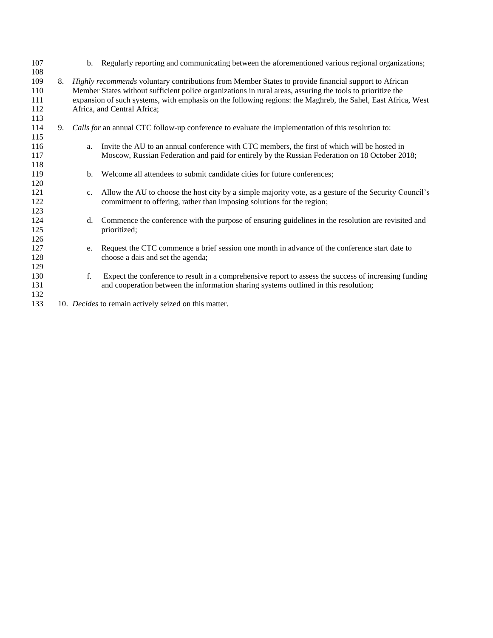| 107 |    |                                                                                                              | b. Regularly reporting and communicating between the aforementioned various regional organizations;        |  |
|-----|----|--------------------------------------------------------------------------------------------------------------|------------------------------------------------------------------------------------------------------------|--|
| 108 |    |                                                                                                              |                                                                                                            |  |
| 109 | 8. | Highly recommends voluntary contributions from Member States to provide financial support to African         |                                                                                                            |  |
| 110 |    |                                                                                                              | Member States without sufficient police organizations in rural areas, assuring the tools to prioritize the |  |
| 111 |    | expansion of such systems, with emphasis on the following regions: the Maghreb, the Sahel, East Africa, West |                                                                                                            |  |
| 112 |    | Africa, and Central Africa;                                                                                  |                                                                                                            |  |
| 113 |    |                                                                                                              |                                                                                                            |  |
| 114 | 9. |                                                                                                              | Calls for an annual CTC follow-up conference to evaluate the implementation of this resolution to:         |  |
| 115 |    |                                                                                                              |                                                                                                            |  |
| 116 |    | a.                                                                                                           | Invite the AU to an annual conference with CTC members, the first of which will be hosted in               |  |
| 117 |    |                                                                                                              | Moscow, Russian Federation and paid for entirely by the Russian Federation on 18 October 2018;             |  |
| 118 |    |                                                                                                              |                                                                                                            |  |
| 119 |    | b.                                                                                                           | Welcome all attendees to submit candidate cities for future conferences;                                   |  |
| 120 |    |                                                                                                              |                                                                                                            |  |
| 121 |    | $c_{\cdot}$                                                                                                  | Allow the AU to choose the host city by a simple majority vote, as a gesture of the Security Council's     |  |
| 122 |    |                                                                                                              | commitment to offering, rather than imposing solutions for the region;                                     |  |
| 123 |    |                                                                                                              |                                                                                                            |  |
| 124 |    | d.                                                                                                           | Commence the conference with the purpose of ensuring guidelines in the resolution are revisited and        |  |
| 125 |    |                                                                                                              | prioritized;                                                                                               |  |
| 126 |    |                                                                                                              |                                                                                                            |  |
| 127 |    | e.                                                                                                           | Request the CTC commence a brief session one month in advance of the conference start date to              |  |
| 128 |    |                                                                                                              | choose a dais and set the agenda;                                                                          |  |
| 129 |    |                                                                                                              |                                                                                                            |  |
| 130 |    | f.                                                                                                           | Expect the conference to result in a comprehensive report to assess the success of increasing funding      |  |
| 131 |    |                                                                                                              | and cooperation between the information sharing systems outlined in this resolution;                       |  |
| 132 |    |                                                                                                              |                                                                                                            |  |
| 133 |    |                                                                                                              | 10. Decides to remain actively seized on this matter.                                                      |  |